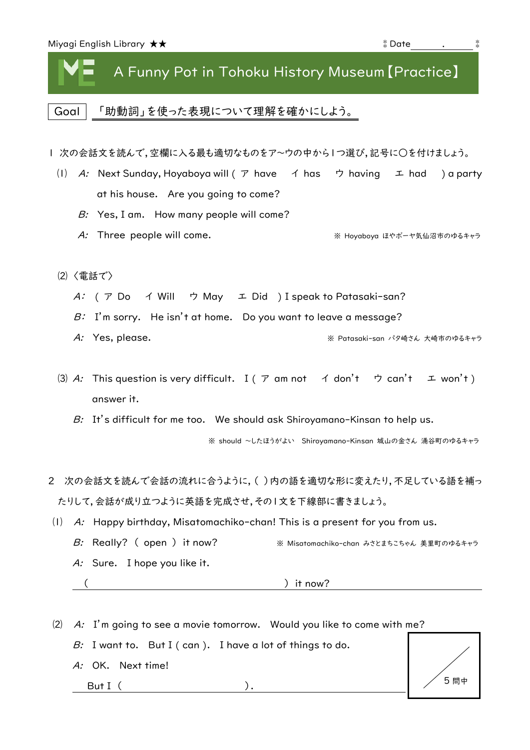| Miyagi English Library $\bigstar\bigstar$ | ँ Date |  |  |
|-------------------------------------------|--------|--|--|
|-------------------------------------------|--------|--|--|

## A Funny Pot in Tohoku History Museum【Practice】

Goal | 「助動詞」を使った表現について理解を確かにしよう。

Ⅰ 次の会話文を読んで,空欄に入る最も適切なものをア~ウの中から1つ選び,記号に○を付けましょう。

- (I) A: Next Sunday, Hoyaboya will ( $\mathcal P$  have  $\mathcal A$  has  $\mathcal P$  having  $\mathcal I$  had ) a party at his house. Are you going to come?
	- B: Yes, I am. How many people will come?
	- A: Three people will come. ※ Hoyaboya ほやボーヤ気仙沼市のゆるキャラ
- ⑵ 〈電話で〉
	- A: ( ア Do イ Will ウ May エ Did ) I speak to Patasaki-san?
	- $B: I'm$  sorry. He isn't at home. Do you want to leave a message?
	- A: Yes, please. <br>
	※ Patasaki-san パタ崎さん 大崎市のゆるキャラ
- (3) A: This question is very difficult. I ( $\mathcal T$  am not  $\mathcal A$  don't  $\mathcal D$  can't  $\mathcal I$  won't) answer it.

B: It's difficult for me too. We should ask Shiroyamano-Kinsan to help us.

※ should ~したほうがよい Shiroyamano-Kinsan 城山の金さん 涌谷町のゆるキャラ

- 2 次の会話文を読んで会話の流れに合うように,( )内の語を適切な形に変えたり,不足している語を補っ たりして,会話が成り立つように英語を完成させ,その1文を下線部に書きましょう。
- $(1)$  A: Happy birthday, Misatomachiko-chan! This is a present for you from us.
	- B: Really? ( open ) it now? <br>※ Misatomachiko-chan みさとまちこちゃん 美里町のゆるキャラ A: Sure. I hope you like it.
		-

A: OK. Next time!

 $($  ) it now?

⑵ A: I'm going to see a movie tomorrow. Would you like to come with me? B: I want to.  $\overline{B}$  But I (can ). I have a lot of things to do.

But I ( ).

5 問中